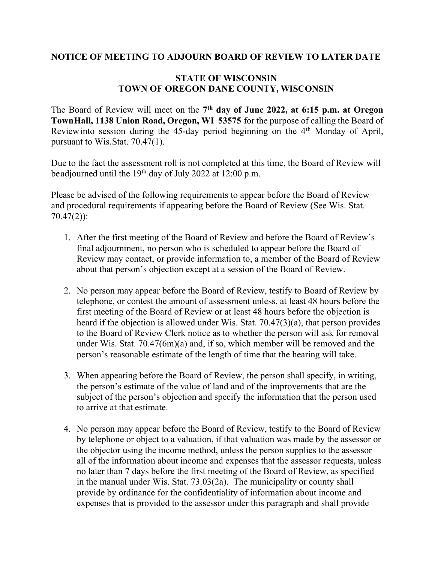## NOTICE OF MEETING TO ADJOURN BOARD OF REVIEW TO LATER DATE

## STATE OF WISCONSIN TOWN OF OREGON DANE COUNTY, WISCONSIN

The Board of Review will meet on the  $7<sup>th</sup>$  day of June 2022, at 6:15 p.m. at Oregon Town Hall, 1138 Union Road, Oregon, WI 53575 for the purpose of calling the Board of Review into session during the 45-day period beginning on the 4<sup>th</sup> Monday of April, pursuant to Wis. Stat. 70.47(1).

Due to the fact the assessment roll is not completed at this time, the Board of Review will be adjourned until the 19<sup>th</sup> day of July 2022 at 12:00 p.m.

Please be advised of the following requirements to appear before the Board of Review and procedural requirements if appearing before the Board of Review (See Wis. Stat. 70.47(2)):

- 1. After the first meeting of the Board of Review and before the Board of Review's final adjournment, no person who is scheduled to appear before the Board of Review may contact, or provide information to, a member of the Board of Review about that person's objection except at a session of the Board of Review.
- 2. No person may appear before the Board of Review, testify to Board of Review by telephone, or contest the amount of assessment unless, at least 48 hours before the first meeting of the Board of Review or at least 48 hours before the objection is heard if the objection is allowed under Wis. Stat. 70.47(3)(a), that person provides to the Board of Review Clerk notice as to whether the person will ask for removal under Wis. Stat. 70.47(6m)(a) and, if so, which member will be removed and the person's reasonable estimate of the length of time that the hearing will take.
- 3. When appearing before the Board of Review, the person shall specify, in writing, the person's estimate of the value of land and of the improvements that are the subject of the person's objection and specify the information that the person used to arrive at that estimate.
- 4. No person may appear before the Board of Review, testify to the Board of Review by telephone or object to a valuation, if that valuation was made by the assessor or the objector using the income method, unless the person supplies to the assessor all of the information about income and expenses that the assessor requests, unless no later than 7 days before the first meeting of the Board of Review, as specified in the manual under Wis. Stat. 73.03(2a). The municipality or county shall provide by ordinance for the confidentiality of information about income and expenses that is provided to the assessor under this paragraph and shall provide